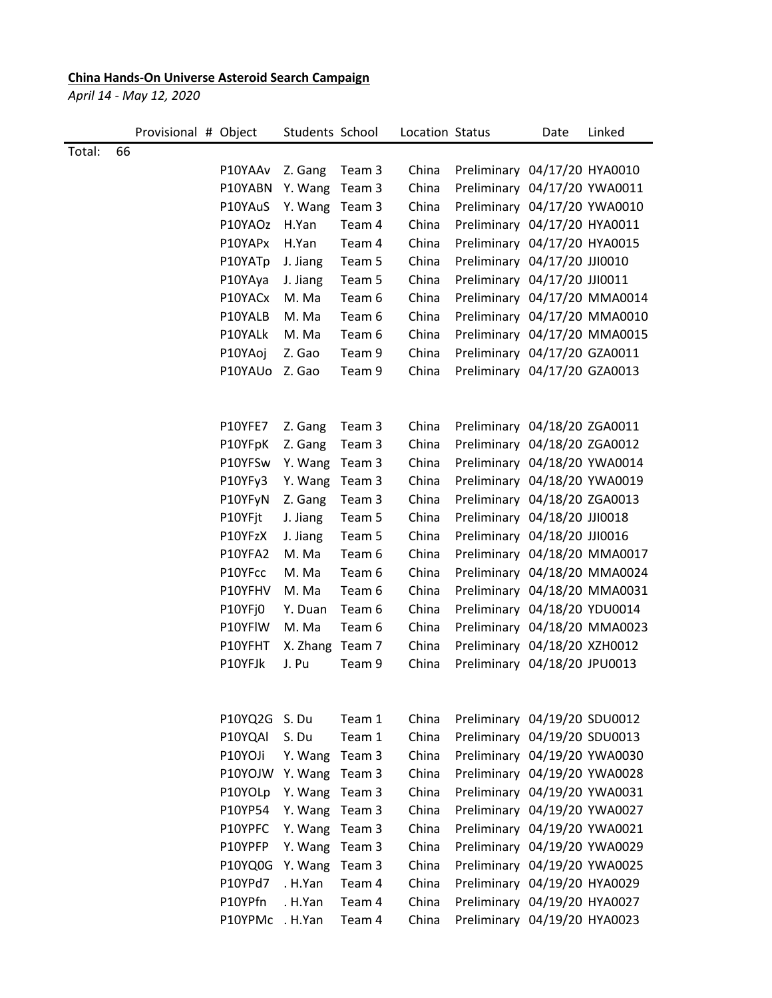## **China Hands-On Universe Asteroid Search Campaign**

*April 14 - May 12, 2020*

|        | Provisional # Object |              | Students School |        | Location Status |                              | Date | Linked |
|--------|----------------------|--------------|-----------------|--------|-----------------|------------------------------|------|--------|
| Total: | 66                   |              |                 |        |                 |                              |      |        |
|        |                      | P10YAAv      | Z. Gang         | Team 3 | China           | Preliminary 04/17/20 HYA0010 |      |        |
|        |                      | P10YABN      | Y. Wang         | Team 3 | China           | Preliminary 04/17/20 YWA0011 |      |        |
|        |                      | P10YAuS      | Y. Wang         | Team 3 | China           | Preliminary 04/17/20 YWA0010 |      |        |
|        |                      | P10YAOz      | H.Yan           | Team 4 | China           | Preliminary 04/17/20 HYA0011 |      |        |
|        |                      | P10YAPx      | H.Yan           | Team 4 | China           | Preliminary 04/17/20 HYA0015 |      |        |
|        |                      | P10YATp      | J. Jiang        | Team 5 | China           | Preliminary 04/17/20 JJI0010 |      |        |
|        |                      | P10YAya      | J. Jiang        | Team 5 | China           | Preliminary 04/17/20 JJI0011 |      |        |
|        |                      | P10YACx      | M. Ma           | Team 6 | China           | Preliminary 04/17/20 MMA0014 |      |        |
|        |                      | P10YALB      | M. Ma           | Team 6 | China           | Preliminary 04/17/20 MMA0010 |      |        |
|        |                      | P10YALk      | M. Ma           | Team 6 | China           | Preliminary 04/17/20 MMA0015 |      |        |
|        |                      | P10YAoj      | Z. Gao          | Team 9 | China           | Preliminary 04/17/20 GZA0011 |      |        |
|        |                      | P10YAUo      | Z. Gao          | Team 9 | China           | Preliminary 04/17/20 GZA0013 |      |        |
|        |                      |              |                 |        |                 |                              |      |        |
|        |                      | P10YFE7      | Z. Gang         | Team 3 | China           | Preliminary 04/18/20 ZGA0011 |      |        |
|        |                      | P10YFpK      | Z. Gang         | Team 3 | China           | Preliminary 04/18/20 ZGA0012 |      |        |
|        |                      | P10YFSw      | Y. Wang         | Team 3 | China           | Preliminary 04/18/20 YWA0014 |      |        |
|        |                      | P10YFy3      | Y. Wang         | Team 3 | China           | Preliminary 04/18/20 YWA0019 |      |        |
|        |                      | P10YFyN      | Z. Gang         | Team 3 | China           | Preliminary 04/18/20 ZGA0013 |      |        |
|        |                      | P10YFjt      | J. Jiang        | Team 5 | China           | Preliminary 04/18/20 JJI0018 |      |        |
|        |                      | P10YFzX      | J. Jiang        | Team 5 | China           | Preliminary 04/18/20 JJI0016 |      |        |
|        |                      | P10YFA2      | M. Ma           | Team 6 | China           | Preliminary 04/18/20 MMA0017 |      |        |
|        |                      | P10YFcc      | M. Ma           | Team 6 | China           | Preliminary 04/18/20 MMA0024 |      |        |
|        |                      | P10YFHV      | M. Ma           | Team 6 | China           | Preliminary 04/18/20 MMA0031 |      |        |
|        |                      | P10YFj0      | Y. Duan         | Team 6 | China           | Preliminary 04/18/20 YDU0014 |      |        |
|        |                      | P10YFIW      | M. Ma           | Team 6 | China           | Preliminary 04/18/20 MMA0023 |      |        |
|        |                      | P10YFHT      | X. Zhang Team 7 |        | China           | Preliminary 04/18/20 XZH0012 |      |        |
|        |                      | P10YFJk      | J. Pu           | Team 9 | China           | Preliminary 04/18/20 JPU0013 |      |        |
|        |                      |              |                 |        |                 |                              |      |        |
|        |                      | P10YQ2G S.Du |                 | Team 1 | China           | Preliminary 04/19/20 SDU0012 |      |        |
|        |                      | P10YQAI      | S. Du           | Team 1 | China           | Preliminary 04/19/20 SDU0013 |      |        |
|        |                      | P10YOJi      | Y. Wang         | Team 3 | China           | Preliminary 04/19/20 YWA0030 |      |        |
|        |                      | P10YOJW      | Y. Wang         | Team 3 | China           | Preliminary 04/19/20 YWA0028 |      |        |
|        |                      | P10YOLp      | Y. Wang         | Team 3 | China           | Preliminary 04/19/20 YWA0031 |      |        |
|        |                      | P10YP54      | Y. Wang         | Team 3 | China           | Preliminary 04/19/20 YWA0027 |      |        |
|        |                      | P10YPFC      | Y. Wang         | Team 3 | China           | Preliminary 04/19/20 YWA0021 |      |        |
|        |                      | P10YPFP      | Y. Wang         | Team 3 | China           | Preliminary 04/19/20 YWA0029 |      |        |
|        |                      | P10YQ0G      | Y. Wang         | Team 3 | China           | Preliminary 04/19/20 YWA0025 |      |        |
|        |                      | P10YPd7      | . H.Yan         | Team 4 | China           | Preliminary 04/19/20 HYA0029 |      |        |
|        |                      | P10YPfn      | . H.Yan         | Team 4 | China           | Preliminary 04/19/20 HYA0027 |      |        |
|        |                      | P10YPMc      | . H.Yan         | Team 4 | China           | Preliminary 04/19/20 HYA0023 |      |        |